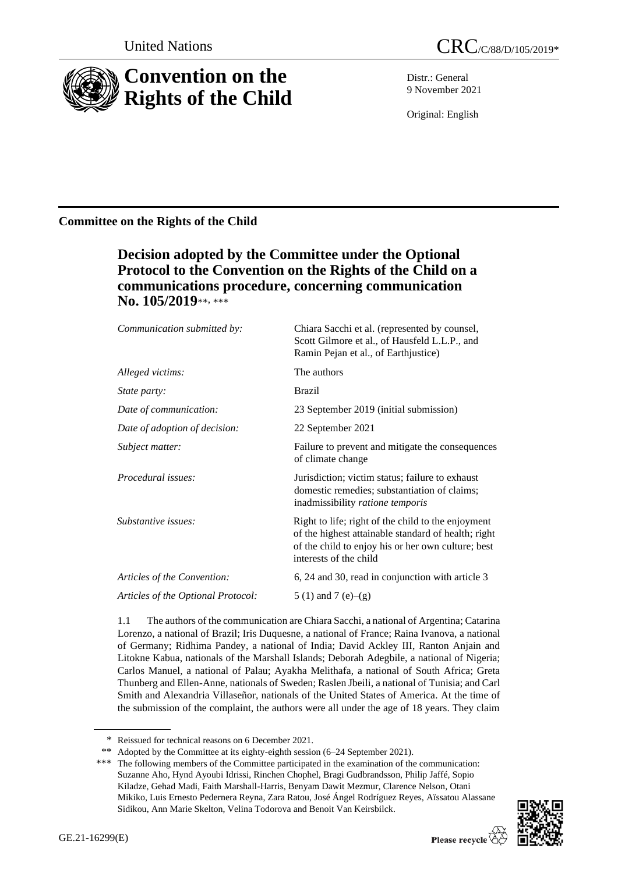

Distr.: General 9 November 2021

Original: English

## **Committee on the Rights of the Child**

# **Decision adopted by the Committee under the Optional Protocol to the Convention on the Rights of the Child on a communications procedure, concerning communication No. 105/2019**\*\* , \*\*\*

| Communication submitted by:        | Chiara Sacchi et al. (represented by counsel,<br>Scott Gilmore et al., of Hausfeld L.L.P., and<br>Ramin Pejan et al., of Earthjustice)                                                    |
|------------------------------------|-------------------------------------------------------------------------------------------------------------------------------------------------------------------------------------------|
| Alleged victims:                   | The authors                                                                                                                                                                               |
| State party:                       | <b>Brazil</b>                                                                                                                                                                             |
| Date of communication:             | 23 September 2019 (initial submission)                                                                                                                                                    |
| Date of adoption of decision:      | 22 September 2021                                                                                                                                                                         |
| Subject matter:                    | Failure to prevent and mitigate the consequences<br>of climate change                                                                                                                     |
| <i>Procedural issues:</i>          | Jurisdiction; victim status; failure to exhaust<br>domestic remedies; substantiation of claims;<br>inadmissibility ratione temporis                                                       |
| Substantive issues:                | Right to life; right of the child to the enjoyment<br>of the highest attainable standard of health; right<br>of the child to enjoy his or her own culture; best<br>interests of the child |
| Articles of the Convention:        | 6, 24 and 30, read in conjunction with article 3                                                                                                                                          |
| Articles of the Optional Protocol: | 5 (1) and 7 (e)–(g)                                                                                                                                                                       |

1.1 The authors of the communication are Chiara Sacchi, a national of Argentina; Catarina Lorenzo, a national of Brazil; Iris Duquesne, a national of France; Raina Ivanova, a national of Germany; Ridhima Pandey, a national of India; David Ackley III, Ranton Anjain and Litokne Kabua, nationals of the Marshall Islands; Deborah Adegbile, a national of Nigeria; Carlos Manuel, a national of Palau; Ayakha Melithafa, a national of South Africa; Greta Thunberg and Ellen-Anne, nationals of Sweden; Raslen Jbeili, a national of Tunisia; and Carl Smith and Alexandria Villaseñor, nationals of the United States of America. At the time of the submission of the complaint, the authors were all under the age of 18 years. They claim

<sup>\*\*\*</sup> The following members of the Committee participated in the examination of the communication: Suzanne Aho, Hynd Ayoubi Idrissi, Rinchen Chophel, Bragi Gudbrandsson, Philip Jaffé, Sopio Kiladze, Gehad Madi, Faith Marshall-Harris, Benyam Dawit Mezmur, Clarence Nelson, Otani Mikiko, Luis Ernesto Pedernera Reyna, Zara Ratou, José Ángel Rodríguez Reyes, Aïssatou Alassane Sidikou, Ann Marie Skelton, Velina Todorova and Benoit Van Keirsbilck.



<sup>\*</sup> Reissued for technical reasons on 6 December 2021.

<sup>\*\*</sup> Adopted by the Committee at its eighty-eighth session (6–24 September 2021).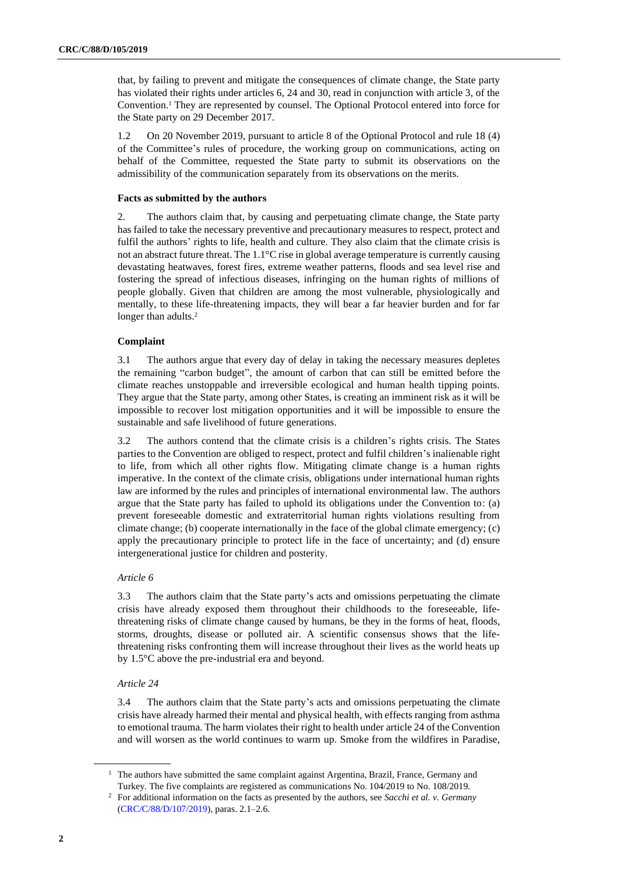that, by failing to prevent and mitigate the consequences of climate change, the State party has violated their rights under articles 6, 24 and 30, read in conjunction with article 3, of the Convention.<sup>1</sup> They are represented by counsel. The Optional Protocol entered into force for the State party on 29 December 2017.

1.2 On 20 November 2019, pursuant to article 8 of the Optional Protocol and rule 18 (4) of the Committee's rules of procedure, the working group on communications, acting on behalf of the Committee, requested the State party to submit its observations on the admissibility of the communication separately from its observations on the merits.

## **Facts as submitted by the authors**

2. The authors claim that, by causing and perpetuating climate change, the State party has failed to take the necessary preventive and precautionary measures to respect, protect and fulfil the authors' rights to life, health and culture. They also claim that the climate crisis is not an abstract future threat. The 1.1°C rise in global average temperature is currently causing devastating heatwaves, forest fires, extreme weather patterns, floods and sea level rise and fostering the spread of infectious diseases, infringing on the human rights of millions of people globally. Given that children are among the most vulnerable, physiologically and mentally, to these life-threatening impacts, they will bear a far heavier burden and for far longer than adults.<sup>2</sup>

## **Complaint**

3.1 The authors argue that every day of delay in taking the necessary measures depletes the remaining "carbon budget", the amount of carbon that can still be emitted before the climate reaches unstoppable and irreversible ecological and human health tipping points. They argue that the State party, among other States, is creating an imminent risk as it will be impossible to recover lost mitigation opportunities and it will be impossible to ensure the sustainable and safe livelihood of future generations.

3.2 The authors contend that the climate crisis is a children's rights crisis. The States parties to the Convention are obliged to respect, protect and fulfil children's inalienable right to life, from which all other rights flow. Mitigating climate change is a human rights imperative. In the context of the climate crisis, obligations under international human rights law are informed by the rules and principles of international environmental law. The authors argue that the State party has failed to uphold its obligations under the Convention to: (a) prevent foreseeable domestic and extraterritorial human rights violations resulting from climate change; (b) cooperate internationally in the face of the global climate emergency; (c) apply the precautionary principle to protect life in the face of uncertainty; and (d) ensure intergenerational justice for children and posterity.

#### *Article 6*

3.3 The authors claim that the State party's acts and omissions perpetuating the climate crisis have already exposed them throughout their childhoods to the foreseeable, lifethreatening risks of climate change caused by humans, be they in the forms of heat, floods, storms, droughts, disease or polluted air. A scientific consensus shows that the lifethreatening risks confronting them will increase throughout their lives as the world heats up by 1.5°C above the pre-industrial era and beyond.

## *Article 24*

3.4 The authors claim that the State party's acts and omissions perpetuating the climate crisis have already harmed their mental and physical health, with effects ranging from asthma to emotional trauma. The harm violates their right to health under article 24 of the Convention and will worsen as the world continues to warm up. Smoke from the wildfires in Paradise,

<sup>&</sup>lt;sup>1</sup> The authors have submitted the same complaint against Argentina, Brazil, France, Germany and Turkey. The five complaints are registered as communications No. 104/2019 to No. 108/2019.

<sup>2</sup> For additional information on the facts as presented by the authors, see *Sacchi et al. v. Germany* [\(CRC/C/88/D/107/2019\)](http://undocs.org/en/CRC/C/88/D/107/2019), paras. 2.1–2.6.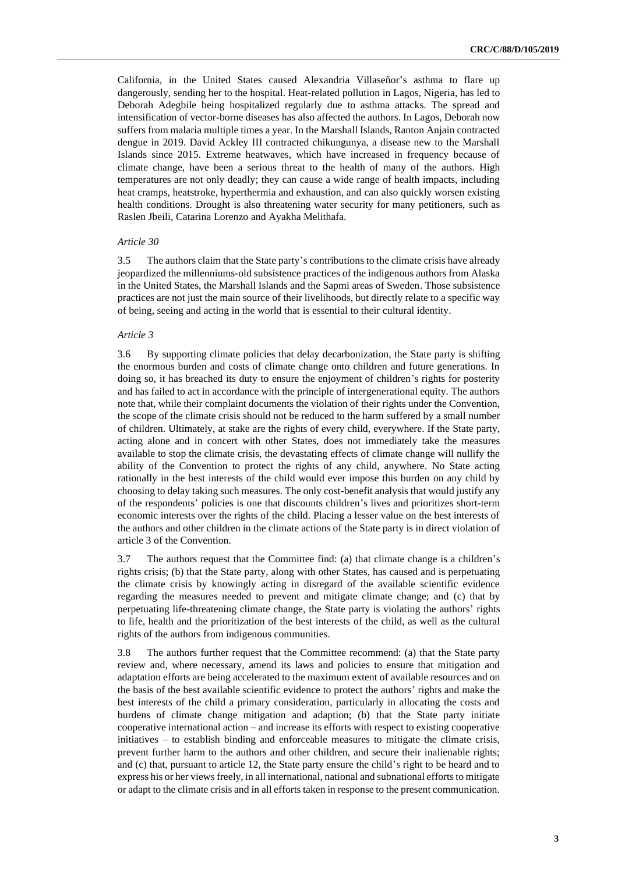California, in the United States caused Alexandria Villaseñor's asthma to flare up dangerously, sending her to the hospital. Heat-related pollution in Lagos, Nigeria, has led to Deborah Adegbile being hospitalized regularly due to asthma attacks. The spread and intensification of vector-borne diseases has also affected the authors. In Lagos, Deborah now suffers from malaria multiple times a year. In the Marshall Islands, Ranton Anjain contracted dengue in 2019. David Ackley III contracted chikungunya, a disease new to the Marshall Islands since 2015. Extreme heatwaves, which have increased in frequency because of climate change, have been a serious threat to the health of many of the authors. High temperatures are not only deadly; they can cause a wide range of health impacts, including heat cramps, heatstroke, hyperthermia and exhaustion, and can also quickly worsen existing health conditions. Drought is also threatening water security for many petitioners, such as Raslen Jbeili, Catarina Lorenzo and Ayakha Melithafa.

#### *Article 30*

3.5 The authors claim that the State party's contributions to the climate crisis have already jeopardized the millenniums-old subsistence practices of the indigenous authors from Alaska in the United States, the Marshall Islands and the Sapmi areas of Sweden. Those subsistence practices are not just the main source of their livelihoods, but directly relate to a specific way of being, seeing and acting in the world that is essential to their cultural identity.

## *Article 3*

3.6 By supporting climate policies that delay decarbonization, the State party is shifting the enormous burden and costs of climate change onto children and future generations. In doing so, it has breached its duty to ensure the enjoyment of children's rights for posterity and has failed to act in accordance with the principle of intergenerational equity. The authors note that, while their complaint documents the violation of their rights under the Convention, the scope of the climate crisis should not be reduced to the harm suffered by a small number of children. Ultimately, at stake are the rights of every child, everywhere. If the State party, acting alone and in concert with other States, does not immediately take the measures available to stop the climate crisis, the devastating effects of climate change will nullify the ability of the Convention to protect the rights of any child, anywhere. No State acting rationally in the best interests of the child would ever impose this burden on any child by choosing to delay taking such measures. The only cost-benefit analysis that would justify any of the respondents' policies is one that discounts children's lives and prioritizes short-term economic interests over the rights of the child. Placing a lesser value on the best interests of the authors and other children in the climate actions of the State party is in direct violation of article 3 of the Convention.

3.7 The authors request that the Committee find: (a) that climate change is a children's rights crisis; (b) that the State party, along with other States, has caused and is perpetuating the climate crisis by knowingly acting in disregard of the available scientific evidence regarding the measures needed to prevent and mitigate climate change; and (c) that by perpetuating life-threatening climate change, the State party is violating the authors' rights to life, health and the prioritization of the best interests of the child, as well as the cultural rights of the authors from indigenous communities.

3.8 The authors further request that the Committee recommend: (a) that the State party review and, where necessary, amend its laws and policies to ensure that mitigation and adaptation efforts are being accelerated to the maximum extent of available resources and on the basis of the best available scientific evidence to protect the authors' rights and make the best interests of the child a primary consideration, particularly in allocating the costs and burdens of climate change mitigation and adaption; (b) that the State party initiate cooperative international action – and increase its efforts with respect to existing cooperative initiatives – to establish binding and enforceable measures to mitigate the climate crisis, prevent further harm to the authors and other children, and secure their inalienable rights; and (c) that, pursuant to article 12, the State party ensure the child's right to be heard and to express his or her views freely, in all international, national and subnational efforts to mitigate or adapt to the climate crisis and in all efforts taken in response to the present communication.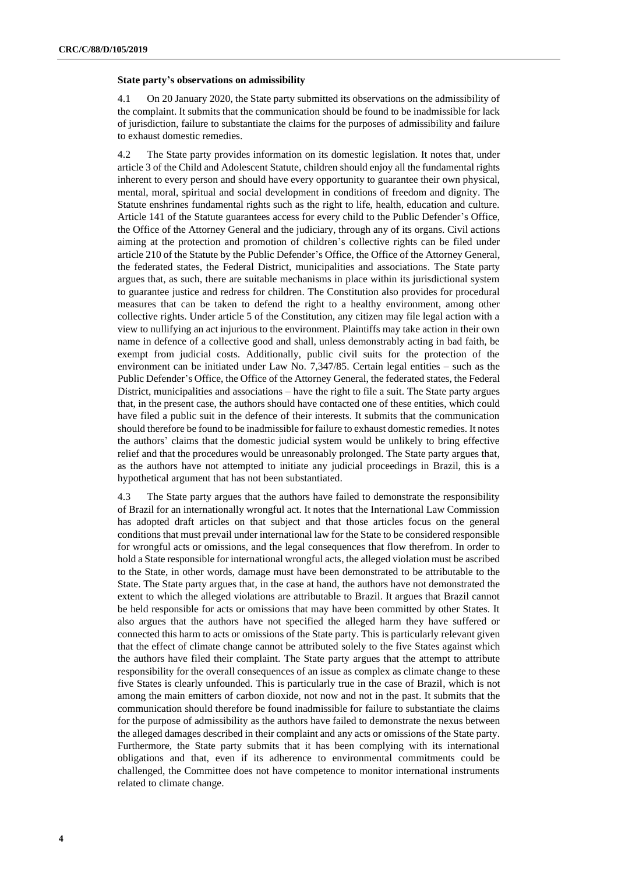#### **State party's observations on admissibility**

4.1 On 20 January 2020, the State party submitted its observations on the admissibility of the complaint. It submits that the communication should be found to be inadmissible for lack of jurisdiction, failure to substantiate the claims for the purposes of admissibility and failure to exhaust domestic remedies.

4.2 The State party provides information on its domestic legislation. It notes that, under article 3 of the Child and Adolescent Statute, children should enjoy all the fundamental rights inherent to every person and should have every opportunity to guarantee their own physical, mental, moral, spiritual and social development in conditions of freedom and dignity. The Statute enshrines fundamental rights such as the right to life, health, education and culture. Article 141 of the Statute guarantees access for every child to the Public Defender's Office, the Office of the Attorney General and the judiciary, through any of its organs. Civil actions aiming at the protection and promotion of children's collective rights can be filed under article 210 of the Statute by the Public Defender's Office, the Office of the Attorney General, the federated states, the Federal District, municipalities and associations. The State party argues that, as such, there are suitable mechanisms in place within its jurisdictional system to guarantee justice and redress for children. The Constitution also provides for procedural measures that can be taken to defend the right to a healthy environment, among other collective rights. Under article 5 of the Constitution, any citizen may file legal action with a view to nullifying an act injurious to the environment. Plaintiffs may take action in their own name in defence of a collective good and shall, unless demonstrably acting in bad faith, be exempt from judicial costs. Additionally, public civil suits for the protection of the environment can be initiated under Law No. 7,347/85. Certain legal entities – such as the Public Defender's Office, the Office of the Attorney General, the federated states, the Federal District, municipalities and associations – have the right to file a suit. The State party argues that, in the present case, the authors should have contacted one of these entities, which could have filed a public suit in the defence of their interests. It submits that the communication should therefore be found to be inadmissible for failure to exhaust domestic remedies. It notes the authors' claims that the domestic judicial system would be unlikely to bring effective relief and that the procedures would be unreasonably prolonged. The State party argues that, as the authors have not attempted to initiate any judicial proceedings in Brazil, this is a hypothetical argument that has not been substantiated.

4.3 The State party argues that the authors have failed to demonstrate the responsibility of Brazil for an internationally wrongful act. It notes that the International Law Commission has adopted draft articles on that subject and that those articles focus on the general conditions that must prevail under international law for the State to be considered responsible for wrongful acts or omissions, and the legal consequences that flow therefrom. In order to hold a State responsible for international wrongful acts, the alleged violation must be ascribed to the State, in other words, damage must have been demonstrated to be attributable to the State. The State party argues that, in the case at hand, the authors have not demonstrated the extent to which the alleged violations are attributable to Brazil. It argues that Brazil cannot be held responsible for acts or omissions that may have been committed by other States. It also argues that the authors have not specified the alleged harm they have suffered or connected this harm to acts or omissions of the State party. This is particularly relevant given that the effect of climate change cannot be attributed solely to the five States against which the authors have filed their complaint. The State party argues that the attempt to attribute responsibility for the overall consequences of an issue as complex as climate change to these five States is clearly unfounded. This is particularly true in the case of Brazil, which is not among the main emitters of carbon dioxide, not now and not in the past. It submits that the communication should therefore be found inadmissible for failure to substantiate the claims for the purpose of admissibility as the authors have failed to demonstrate the nexus between the alleged damages described in their complaint and any acts or omissions of the State party. Furthermore, the State party submits that it has been complying with its international obligations and that, even if its adherence to environmental commitments could be challenged, the Committee does not have competence to monitor international instruments related to climate change.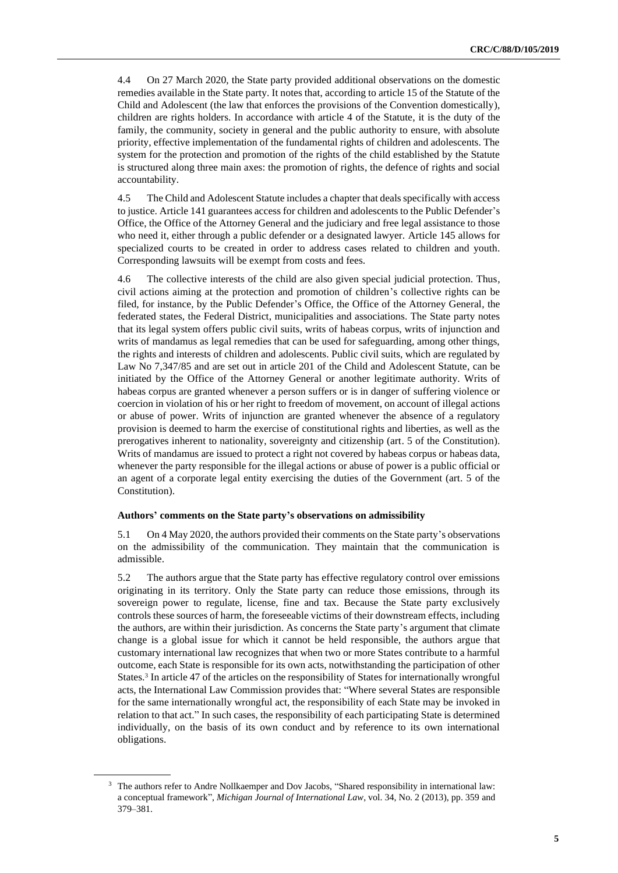4.4 On 27 March 2020, the State party provided additional observations on the domestic remedies available in the State party. It notes that, according to article 15 of the Statute of the Child and Adolescent (the law that enforces the provisions of the Convention domestically), children are rights holders. In accordance with article 4 of the Statute, it is the duty of the family, the community, society in general and the public authority to ensure, with absolute priority, effective implementation of the fundamental rights of children and adolescents. The system for the protection and promotion of the rights of the child established by the Statute is structured along three main axes: the promotion of rights, the defence of rights and social accountability.

4.5 The Child and Adolescent Statute includes a chapter that deals specifically with access to justice. Article 141 guarantees access for children and adolescents to the Public Defender's Office, the Office of the Attorney General and the judiciary and free legal assistance to those who need it, either through a public defender or a designated lawyer. Article 145 allows for specialized courts to be created in order to address cases related to children and youth. Corresponding lawsuits will be exempt from costs and fees.

4.6 The collective interests of the child are also given special judicial protection. Thus, civil actions aiming at the protection and promotion of children's collective rights can be filed, for instance, by the Public Defender's Office, the Office of the Attorney General, the federated states, the Federal District, municipalities and associations. The State party notes that its legal system offers public civil suits, writs of habeas corpus, writs of injunction and writs of mandamus as legal remedies that can be used for safeguarding, among other things, the rights and interests of children and adolescents. Public civil suits, which are regulated by Law No 7,347/85 and are set out in article 201 of the Child and Adolescent Statute, can be initiated by the Office of the Attorney General or another legitimate authority. Writs of habeas corpus are granted whenever a person suffers or is in danger of suffering violence or coercion in violation of his or her right to freedom of movement, on account of illegal actions or abuse of power. Writs of injunction are granted whenever the absence of a regulatory provision is deemed to harm the exercise of constitutional rights and liberties, as well as the prerogatives inherent to nationality, sovereignty and citizenship (art. 5 of the Constitution). Writs of mandamus are issued to protect a right not covered by habeas corpus or habeas data, whenever the party responsible for the illegal actions or abuse of power is a public official or an agent of a corporate legal entity exercising the duties of the Government (art. 5 of the Constitution).

#### **Authors' comments on the State party's observations on admissibility**

5.1 On 4 May 2020, the authors provided their comments on the State party's observations on the admissibility of the communication. They maintain that the communication is admissible.

5.2 The authors argue that the State party has effective regulatory control over emissions originating in its territory. Only the State party can reduce those emissions, through its sovereign power to regulate, license, fine and tax. Because the State party exclusively controls these sources of harm, the foreseeable victims of their downstream effects, including the authors, are within their jurisdiction. As concerns the State party's argument that climate change is a global issue for which it cannot be held responsible, the authors argue that customary international law recognizes that when two or more States contribute to a harmful outcome, each State is responsible for its own acts, notwithstanding the participation of other States.<sup>3</sup> In article 47 of the articles on the responsibility of States for internationally wrongful acts, the International Law Commission provides that: "Where several States are responsible for the same internationally wrongful act, the responsibility of each State may be invoked in relation to that act." In such cases, the responsibility of each participating State is determined individually, on the basis of its own conduct and by reference to its own international obligations.

<sup>&</sup>lt;sup>3</sup> The authors refer to Andre Nollkaemper and Dov Jacobs, "Shared responsibility in international law: a conceptual framework", *Michigan Journal of International Law*, vol. 34, No. 2 (2013), pp. 359 and 379–381.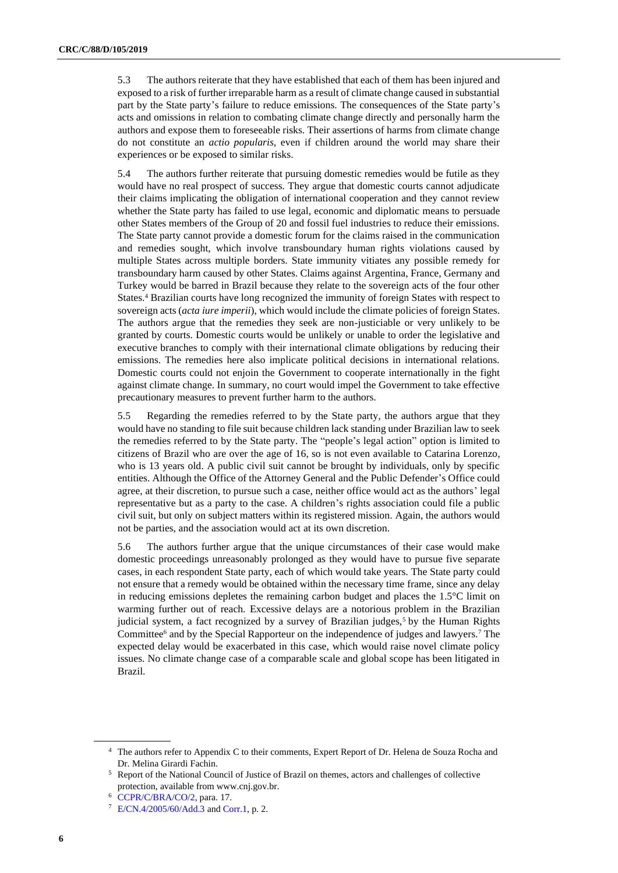5.3 The authors reiterate that they have established that each of them has been injured and exposed to a risk of further irreparable harm as a result of climate change caused in substantial part by the State party's failure to reduce emissions. The consequences of the State party's acts and omissions in relation to combating climate change directly and personally harm the authors and expose them to foreseeable risks. Their assertions of harms from climate change do not constitute an *actio popularis*, even if children around the world may share their experiences or be exposed to similar risks.

5.4 The authors further reiterate that pursuing domestic remedies would be futile as they would have no real prospect of success. They argue that domestic courts cannot adjudicate their claims implicating the obligation of international cooperation and they cannot review whether the State party has failed to use legal, economic and diplomatic means to persuade other States members of the Group of 20 and fossil fuel industries to reduce their emissions. The State party cannot provide a domestic forum for the claims raised in the communication and remedies sought, which involve transboundary human rights violations caused by multiple States across multiple borders. State immunity vitiates any possible remedy for transboundary harm caused by other States. Claims against Argentina, France, Germany and Turkey would be barred in Brazil because they relate to the sovereign acts of the four other States.<sup>4</sup> Brazilian courts have long recognized the immunity of foreign States with respect to sovereign acts (*acta iure imperii*), which would include the climate policies of foreign States. The authors argue that the remedies they seek are non-justiciable or very unlikely to be granted by courts. Domestic courts would be unlikely or unable to order the legislative and executive branches to comply with their international climate obligations by reducing their emissions. The remedies here also implicate political decisions in international relations. Domestic courts could not enjoin the Government to cooperate internationally in the fight against climate change. In summary, no court would impel the Government to take effective precautionary measures to prevent further harm to the authors.

5.5 Regarding the remedies referred to by the State party, the authors argue that they would have no standing to file suit because children lack standing under Brazilian law to seek the remedies referred to by the State party. The "people's legal action" option is limited to citizens of Brazil who are over the age of 16, so is not even available to Catarina Lorenzo, who is 13 years old. A public civil suit cannot be brought by individuals, only by specific entities. Although the Office of the Attorney General and the Public Defender's Office could agree, at their discretion, to pursue such a case, neither office would act as the authors' legal representative but as a party to the case. A children's rights association could file a public civil suit, but only on subject matters within its registered mission. Again, the authors would not be parties, and the association would act at its own discretion.

5.6 The authors further argue that the unique circumstances of their case would make domestic proceedings unreasonably prolonged as they would have to pursue five separate cases, in each respondent State party, each of which would take years. The State party could not ensure that a remedy would be obtained within the necessary time frame, since any delay in reducing emissions depletes the remaining carbon budget and places the 1.5°C limit on warming further out of reach. Excessive delays are a notorious problem in the Brazilian judicial system, a fact recognized by a survey of Brazilian judges,<sup>5</sup> by the Human Rights Committee<sup>6</sup> and by the Special Rapporteur on the independence of judges and lawyers.<sup>7</sup> The expected delay would be exacerbated in this case, which would raise novel climate policy issues. No climate change case of a comparable scale and global scope has been litigated in Brazil.

<sup>4</sup> The authors refer to Appendix C to their comments, Expert Report of Dr. Helena de Souza Rocha and Dr. Melina Girardi Fachin.

<sup>5</sup> Report of the National Council of Justice of Brazil on themes, actors and challenges of collective protection, available from www.cnj.gov.br.

<sup>6</sup> [CCPR/C/BRA/CO/2,](http://undocs.org/en/CCPR/C/BRA/CO/2) para. 17.

<sup>7</sup> [E/CN.4/2005/60/Add.3](http://undocs.org/en/E/CN.4/2005/60/Add.3) and [Corr.1,](http://undocs.org/en/E/CN.4/2005/60/Add.3/Corr.1) p. 2.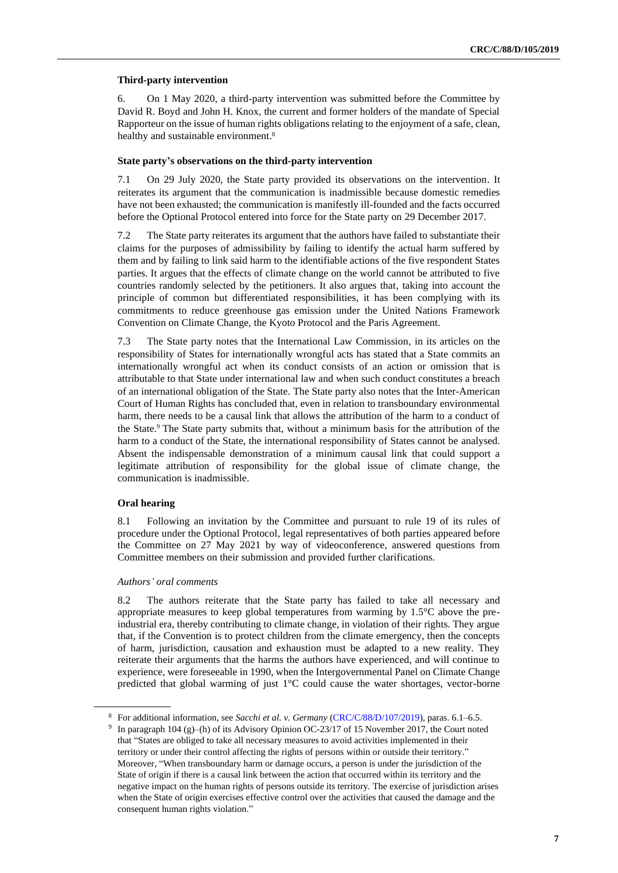#### **Third-party intervention**

6. On 1 May 2020, a third-party intervention was submitted before the Committee by David R. Boyd and John H. Knox, the current and former holders of the mandate of Special Rapporteur on the issue of human rights obligations relating to the enjoyment of a safe, clean, healthy and sustainable environment. 8

#### **State party's observations on the third-party intervention**

7.1 On 29 July 2020, the State party provided its observations on the intervention. It reiterates its argument that the communication is inadmissible because domestic remedies have not been exhausted; the communication is manifestly ill-founded and the facts occurred before the Optional Protocol entered into force for the State party on 29 December 2017.

7.2 The State party reiterates its argument that the authors have failed to substantiate their claims for the purposes of admissibility by failing to identify the actual harm suffered by them and by failing to link said harm to the identifiable actions of the five respondent States parties. It argues that the effects of climate change on the world cannot be attributed to five countries randomly selected by the petitioners. It also argues that, taking into account the principle of common but differentiated responsibilities, it has been complying with its commitments to reduce greenhouse gas emission under the United Nations Framework Convention on Climate Change, the Kyoto Protocol and the Paris Agreement.

7.3 The State party notes that the International Law Commission, in its articles on the responsibility of States for internationally wrongful acts has stated that a State commits an internationally wrongful act when its conduct consists of an action or omission that is attributable to that State under international law and when such conduct constitutes a breach of an international obligation of the State. The State party also notes that the Inter-American Court of Human Rights has concluded that, even in relation to transboundary environmental harm, there needs to be a causal link that allows the attribution of the harm to a conduct of the State. <sup>9</sup> The State party submits that, without a minimum basis for the attribution of the harm to a conduct of the State, the international responsibility of States cannot be analysed. Absent the indispensable demonstration of a minimum causal link that could support a legitimate attribution of responsibility for the global issue of climate change, the communication is inadmissible.

#### **Oral hearing**

8.1 Following an invitation by the Committee and pursuant to rule 19 of its rules of procedure under the Optional Protocol, legal representatives of both parties appeared before the Committee on 27 May 2021 by way of videoconference, answered questions from Committee members on their submission and provided further clarifications.

#### *Authors' oral comments*

8.2 The authors reiterate that the State party has failed to take all necessary and appropriate measures to keep global temperatures from warming by 1.5°C above the preindustrial era, thereby contributing to climate change, in violation of their rights. They argue that, if the Convention is to protect children from the climate emergency, then the concepts of harm, jurisdiction, causation and exhaustion must be adapted to a new reality. They reiterate their arguments that the harms the authors have experienced, and will continue to experience, were foreseeable in 1990, when the Intergovernmental Panel on Climate Change predicted that global warming of just 1°C could cause the water shortages, vector-borne

<sup>8</sup> For additional information, see *Sacchi et al. v. Germany* [\(CRC/C/88/D/107/2019\)](http://undocs.org/en/CRC/C/88/D/107/2019), paras. 6.1–6.5.

<sup>9</sup> In paragraph 104 (g)–(h) of its Advisory Opinion OC-23/17 of 15 November 2017, the Court noted that "States are obliged to take all necessary measures to avoid activities implemented in their territory or under their control affecting the rights of persons within or outside their territory." Moreover, "When transboundary harm or damage occurs, a person is under the jurisdiction of the State of origin if there is a causal link between the action that occurred within its territory and the negative impact on the human rights of persons outside its territory. The exercise of jurisdiction arises when the State of origin exercises effective control over the activities that caused the damage and the consequent human rights violation."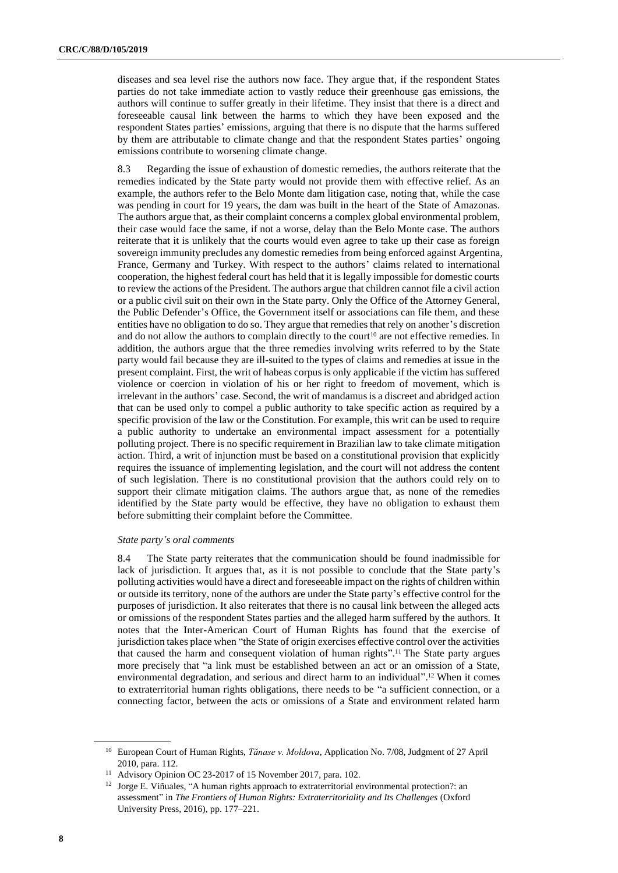diseases and sea level rise the authors now face. They argue that, if the respondent States parties do not take immediate action to vastly reduce their greenhouse gas emissions, the authors will continue to suffer greatly in their lifetime. They insist that there is a direct and foreseeable causal link between the harms to which they have been exposed and the respondent States parties' emissions, arguing that there is no dispute that the harms suffered by them are attributable to climate change and that the respondent States parties' ongoing emissions contribute to worsening climate change.

8.3 Regarding the issue of exhaustion of domestic remedies, the authors reiterate that the remedies indicated by the State party would not provide them with effective relief. As an example, the authors refer to the Belo Monte dam litigation case, noting that, while the case was pending in court for 19 years, the dam was built in the heart of the State of Amazonas. The authors argue that, as their complaint concerns a complex global environmental problem, their case would face the same, if not a worse, delay than the Belo Monte case. The authors reiterate that it is unlikely that the courts would even agree to take up their case as foreign sovereign immunity precludes any domestic remedies from being enforced against Argentina, France, Germany and Turkey. With respect to the authors' claims related to international cooperation, the highest federal court has held that it is legally impossible for domestic courts to review the actions of the President. The authors argue that children cannot file a civil action or a public civil suit on their own in the State party. Only the Office of the Attorney General, the Public Defender's Office, the Government itself or associations can file them, and these entities have no obligation to do so. They argue that remedies that rely on another's discretion and do not allow the authors to complain directly to the court<sup>10</sup> are not effective remedies. In addition, the authors argue that the three remedies involving writs referred to by the State party would fail because they are ill-suited to the types of claims and remedies at issue in the present complaint. First, the writ of habeas corpus is only applicable if the victim has suffered violence or coercion in violation of his or her right to freedom of movement, which is irrelevant in the authors' case. Second, the writ of mandamus is a discreet and abridged action that can be used only to compel a public authority to take specific action as required by a specific provision of the law or the Constitution. For example, this writ can be used to require a public authority to undertake an environmental impact assessment for a potentially polluting project. There is no specific requirement in Brazilian law to take climate mitigation action. Third, a writ of injunction must be based on a constitutional provision that explicitly requires the issuance of implementing legislation, and the court will not address the content of such legislation. There is no constitutional provision that the authors could rely on to support their climate mitigation claims. The authors argue that, as none of the remedies identified by the State party would be effective, they have no obligation to exhaust them before submitting their complaint before the Committee.

#### *State party's oral comments*

8.4 The State party reiterates that the communication should be found inadmissible for lack of jurisdiction. It argues that, as it is not possible to conclude that the State party's polluting activities would have a direct and foreseeable impact on the rights of children within or outside its territory, none of the authors are under the State party's effective control for the purposes of jurisdiction. It also reiterates that there is no causal link between the alleged acts or omissions of the respondent States parties and the alleged harm suffered by the authors. It notes that the Inter-American Court of Human Rights has found that the exercise of jurisdiction takes place when "the State of origin exercises effective control over the activities that caused the harm and consequent violation of human rights". <sup>11</sup> The State party argues more precisely that "a link must be established between an act or an omission of a State, environmental degradation, and serious and direct harm to an individual". <sup>12</sup> When it comes to extraterritorial human rights obligations, there needs to be "a sufficient connection, or a connecting factor, between the acts or omissions of a State and environment related harm

<sup>10</sup> European Court of Human Rights, *Tănase v. Moldova*, Application No. 7/08, Judgment of 27 April 2010, para. 112.

<sup>&</sup>lt;sup>11</sup> Advisory Opinion OC 23-2017 of 15 November 2017, para. 102.

<sup>&</sup>lt;sup>12</sup> Jorge E. Viñuales, "A human rights approach to extraterritorial environmental protection?: an assessment" in *The Frontiers of Human Rights: Extraterritoriality and Its Challenges* (Oxford University Press, 2016), pp. 177–221.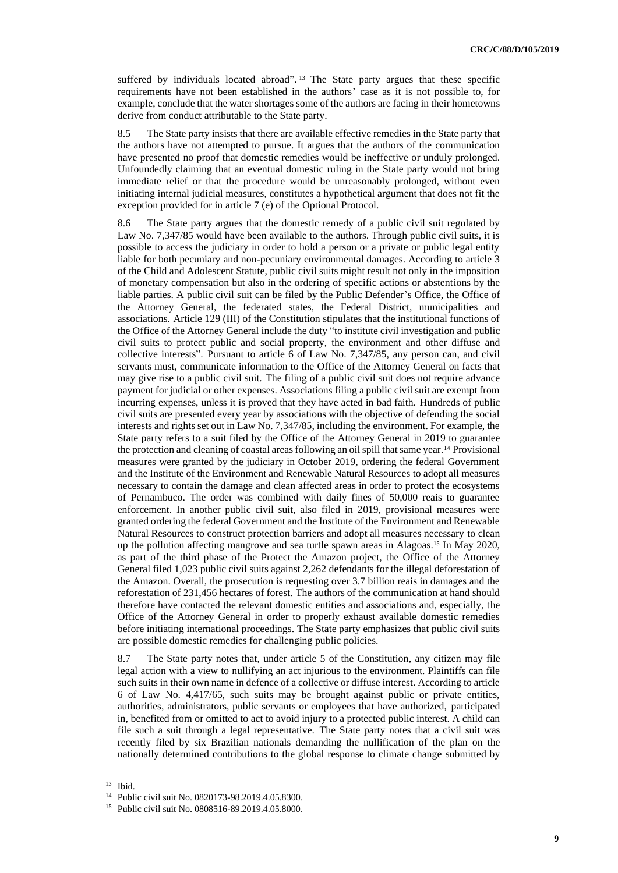suffered by individuals located abroad".<sup>13</sup> The State party argues that these specific requirements have not been established in the authors' case as it is not possible to, for example, conclude that the water shortages some of the authors are facing in their hometowns derive from conduct attributable to the State party.

8.5 The State party insists that there are available effective remedies in the State party that the authors have not attempted to pursue. It argues that the authors of the communication have presented no proof that domestic remedies would be ineffective or unduly prolonged. Unfoundedly claiming that an eventual domestic ruling in the State party would not bring immediate relief or that the procedure would be unreasonably prolonged, without even initiating internal judicial measures, constitutes a hypothetical argument that does not fit the exception provided for in article 7 (e) of the Optional Protocol.

8.6 The State party argues that the domestic remedy of a public civil suit regulated by Law No. 7,347/85 would have been available to the authors. Through public civil suits, it is possible to access the judiciary in order to hold a person or a private or public legal entity liable for both pecuniary and non-pecuniary environmental damages. According to article 3 of the Child and Adolescent Statute, public civil suits might result not only in the imposition of monetary compensation but also in the ordering of specific actions or abstentions by the liable parties. A public civil suit can be filed by the Public Defender's Office, the Office of the Attorney General, the federated states, the Federal District, municipalities and associations. Article 129 (III) of the Constitution stipulates that the institutional functions of the Office of the Attorney General include the duty "to institute civil investigation and public civil suits to protect public and social property, the environment and other diffuse and collective interests". Pursuant to article 6 of Law No. 7,347/85, any person can, and civil servants must, communicate information to the Office of the Attorney General on facts that may give rise to a public civil suit. The filing of a public civil suit does not require advance payment for judicial or other expenses. Associations filing a public civil suit are exempt from incurring expenses, unless it is proved that they have acted in bad faith. Hundreds of public civil suits are presented every year by associations with the objective of defending the social interests and rights set out in Law No. 7,347/85, including the environment. For example, the State party refers to a suit filed by the Office of the Attorney General in 2019 to guarantee the protection and cleaning of coastal areas following an oil spill that same year.<sup>14</sup> Provisional measures were granted by the judiciary in October 2019, ordering the federal Government and the Institute of the Environment and Renewable Natural Resources to adopt all measures necessary to contain the damage and clean affected areas in order to protect the ecosystems of Pernambuco. The order was combined with daily fines of 50,000 reais to guarantee enforcement. In another public civil suit, also filed in 2019, provisional measures were granted ordering the federal Government and the Institute of the Environment and Renewable Natural Resources to construct protection barriers and adopt all measures necessary to clean up the pollution affecting mangrove and sea turtle spawn areas in Alagoas. <sup>15</sup> In May 2020, as part of the third phase of the Protect the Amazon project, the Office of the Attorney General filed 1,023 public civil suits against 2,262 defendants for the illegal deforestation of the Amazon. Overall, the prosecution is requesting over 3.7 billion reais in damages and the reforestation of 231,456 hectares of forest. The authors of the communication at hand should therefore have contacted the relevant domestic entities and associations and, especially, the Office of the Attorney General in order to properly exhaust available domestic remedies before initiating international proceedings. The State party emphasizes that public civil suits are possible domestic remedies for challenging public policies.

8.7 The State party notes that, under article 5 of the Constitution, any citizen may file legal action with a view to nullifying an act injurious to the environment. Plaintiffs can file such suits in their own name in defence of a collective or diffuse interest. According to article 6 of Law No. 4,417/65, such suits may be brought against public or private entities, authorities, administrators, public servants or employees that have authorized, participated in, benefited from or omitted to act to avoid injury to a protected public interest. A child can file such a suit through a legal representative. The State party notes that a civil suit was recently filed by six Brazilian nationals demanding the nullification of the plan on the nationally determined contributions to the global response to climate change submitted by

**9**

<sup>13</sup> Ibid.

<sup>14</sup> Public civil suit No. 0820173-98.2019.4.05.8300.

<sup>15</sup> Public civil suit No. 0808516-89.2019.4.05.8000.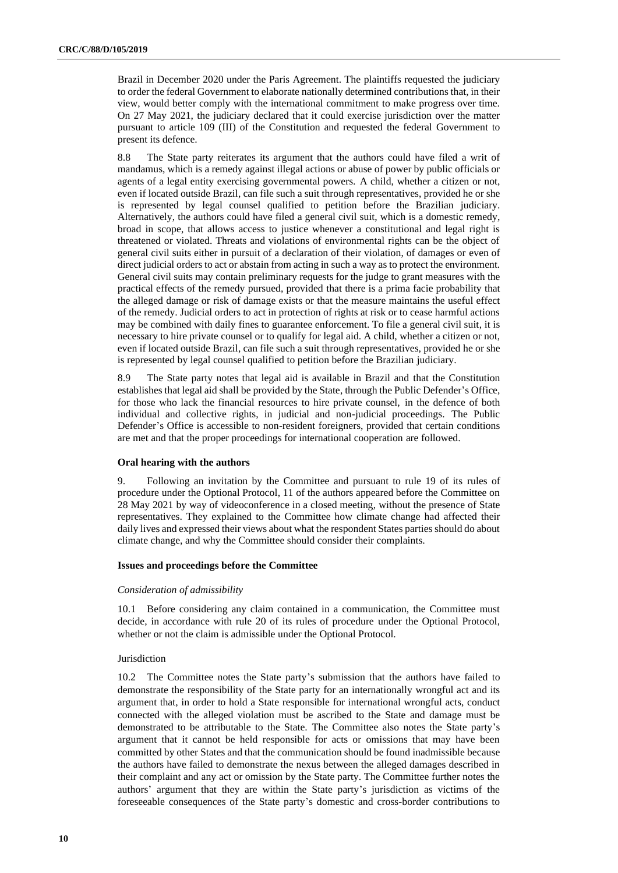Brazil in December 2020 under the Paris Agreement. The plaintiffs requested the judiciary to order the federal Government to elaborate nationally determined contributions that, in their view, would better comply with the international commitment to make progress over time. On 27 May 2021, the judiciary declared that it could exercise jurisdiction over the matter pursuant to article 109 (III) of the Constitution and requested the federal Government to present its defence.

8.8 The State party reiterates its argument that the authors could have filed a writ of mandamus, which is a remedy against illegal actions or abuse of power by public officials or agents of a legal entity exercising governmental powers. A child, whether a citizen or not, even if located outside Brazil, can file such a suit through representatives, provided he or she is represented by legal counsel qualified to petition before the Brazilian judiciary. Alternatively, the authors could have filed a general civil suit, which is a domestic remedy, broad in scope, that allows access to justice whenever a constitutional and legal right is threatened or violated. Threats and violations of environmental rights can be the object of general civil suits either in pursuit of a declaration of their violation, of damages or even of direct judicial orders to act or abstain from acting in such a way as to protect the environment. General civil suits may contain preliminary requests for the judge to grant measures with the practical effects of the remedy pursued, provided that there is a prima facie probability that the alleged damage or risk of damage exists or that the measure maintains the useful effect of the remedy. Judicial orders to act in protection of rights at risk or to cease harmful actions may be combined with daily fines to guarantee enforcement. To file a general civil suit, it is necessary to hire private counsel or to qualify for legal aid. A child, whether a citizen or not, even if located outside Brazil, can file such a suit through representatives, provided he or she is represented by legal counsel qualified to petition before the Brazilian judiciary.

8.9 The State party notes that legal aid is available in Brazil and that the Constitution establishes that legal aid shall be provided by the State, through the Public Defender's Office, for those who lack the financial resources to hire private counsel, in the defence of both individual and collective rights, in judicial and non-judicial proceedings. The Public Defender's Office is accessible to non-resident foreigners, provided that certain conditions are met and that the proper proceedings for international cooperation are followed.

#### **Oral hearing with the authors**

9. Following an invitation by the Committee and pursuant to rule 19 of its rules of procedure under the Optional Protocol, 11 of the authors appeared before the Committee on 28 May 2021 by way of videoconference in a closed meeting, without the presence of State representatives. They explained to the Committee how climate change had affected their daily lives and expressed their views about what the respondent States parties should do about climate change, and why the Committee should consider their complaints.

#### **Issues and proceedings before the Committee**

#### *Consideration of admissibility*

10.1 Before considering any claim contained in a communication, the Committee must decide, in accordance with rule 20 of its rules of procedure under the Optional Protocol, whether or not the claim is admissible under the Optional Protocol.

#### **Jurisdiction**

10.2 The Committee notes the State party's submission that the authors have failed to demonstrate the responsibility of the State party for an internationally wrongful act and its argument that, in order to hold a State responsible for international wrongful acts, conduct connected with the alleged violation must be ascribed to the State and damage must be demonstrated to be attributable to the State. The Committee also notes the State party's argument that it cannot be held responsible for acts or omissions that may have been committed by other States and that the communication should be found inadmissible because the authors have failed to demonstrate the nexus between the alleged damages described in their complaint and any act or omission by the State party. The Committee further notes the authors' argument that they are within the State party's jurisdiction as victims of the foreseeable consequences of the State party's domestic and cross-border contributions to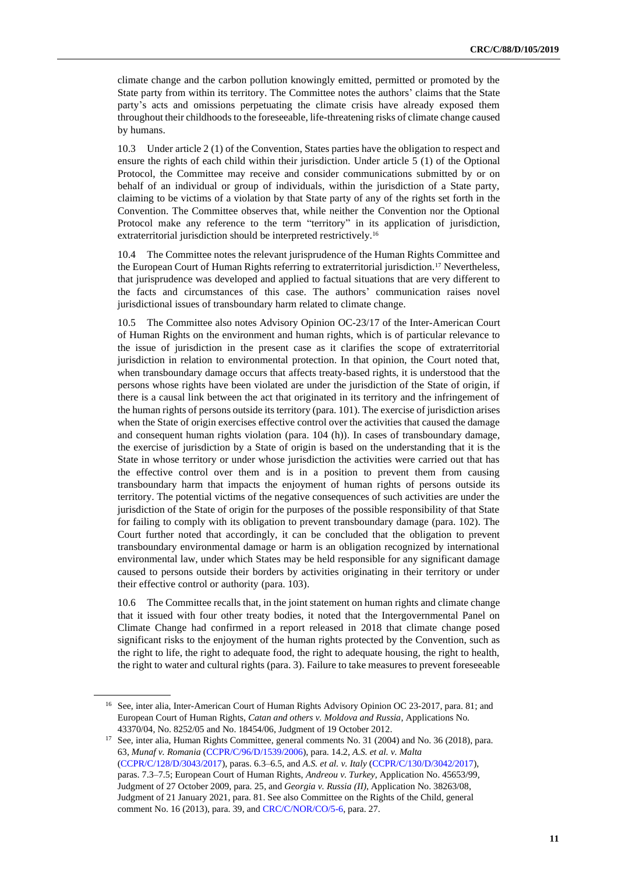climate change and the carbon pollution knowingly emitted, permitted or promoted by the State party from within its territory. The Committee notes the authors' claims that the State party's acts and omissions perpetuating the climate crisis have already exposed them throughout their childhoods to the foreseeable, life-threatening risks of climate change caused by humans.

10.3 Under article 2 (1) of the Convention, States parties have the obligation to respect and ensure the rights of each child within their jurisdiction. Under article 5 (1) of the Optional Protocol, the Committee may receive and consider communications submitted by or on behalf of an individual or group of individuals, within the jurisdiction of a State party, claiming to be victims of a violation by that State party of any of the rights set forth in the Convention. The Committee observes that, while neither the Convention nor the Optional Protocol make any reference to the term "territory" in its application of jurisdiction, extraterritorial jurisdiction should be interpreted restrictively.<sup>16</sup>

10.4 The Committee notes the relevant jurisprudence of the Human Rights Committee and the European Court of Human Rights referring to extraterritorial jurisdiction.<sup>17</sup> Nevertheless, that jurisprudence was developed and applied to factual situations that are very different to the facts and circumstances of this case. The authors' communication raises novel jurisdictional issues of transboundary harm related to climate change.

10.5 The Committee also notes Advisory Opinion OC-23/17 of the Inter-American Court of Human Rights on the environment and human rights, which is of particular relevance to the issue of jurisdiction in the present case as it clarifies the scope of extraterritorial jurisdiction in relation to environmental protection. In that opinion, the Court noted that, when transboundary damage occurs that affects treaty-based rights, it is understood that the persons whose rights have been violated are under the jurisdiction of the State of origin, if there is a causal link between the act that originated in its territory and the infringement of the human rights of persons outside its territory (para. 101). The exercise of jurisdiction arises when the State of origin exercises effective control over the activities that caused the damage and consequent human rights violation (para. 104 (h)). In cases of transboundary damage, the exercise of jurisdiction by a State of origin is based on the understanding that it is the State in whose territory or under whose jurisdiction the activities were carried out that has the effective control over them and is in a position to prevent them from causing transboundary harm that impacts the enjoyment of human rights of persons outside its territory. The potential victims of the negative consequences of such activities are under the jurisdiction of the State of origin for the purposes of the possible responsibility of that State for failing to comply with its obligation to prevent transboundary damage (para. 102). The Court further noted that accordingly, it can be concluded that the obligation to prevent transboundary environmental damage or harm is an obligation recognized by international environmental law, under which States may be held responsible for any significant damage caused to persons outside their borders by activities originating in their territory or under their effective control or authority (para. 103).

10.6 The Committee recalls that, in the joint statement on human rights and climate change that it issued with four other treaty bodies, it noted that the Intergovernmental Panel on Climate Change had confirmed in a report released in 2018 that climate change posed significant risks to the enjoyment of the human rights protected by the Convention, such as the right to life, the right to adequate food, the right to adequate housing, the right to health, the right to water and cultural rights (para. 3). Failure to take measures to prevent foreseeable

<sup>&</sup>lt;sup>16</sup> See, inter alia, Inter-American Court of Human Rights Advisory Opinion OC 23-2017, para. 81; and European Court of Human Rights, *Catan and others v. Moldova and Russia*, Applications No. 43370/04, No. 8252/05 and No. 18454/06, Judgment of 19 October 2012.

<sup>&</sup>lt;sup>17</sup> See, inter alia, Human Rights Committee, general comments No. 31 (2004) and No. 36 (2018), para. 63, *Munaf v. Romania* [\(CCPR/C/96/D/1539/2006\)](http://undocs.org/en/CCPR/C/96/D/1539/2006), para. 14.2, *A.S. et al. v. Malta* [\(CCPR/C/128/D/3043/2017\)](http://undocs.org/en/CCPR/C/128/D/3043/2017), paras. 6.3–6.5, and *A.S. et al. v. Italy* [\(CCPR/C/130/D/3042/2017\)](http://undocs.org/en/CCPR/C/130/D/3042/2017), paras. 7.3–7.5; European Court of Human Rights, *Andreou v. Turkey*, Application No. 45653/99, Judgment of 27 October 2009, para. 25, and *Georgia v. Russia (II)*, Application No. 38263/08, Judgment of 21 January 2021, para. 81. See also Committee on the Rights of the Child, general comment No. 16 (2013), para. 39, and [CRC/C/NOR/CO/5-6,](http://undocs.org/en/CRC/C/NOR/CO/5-6) para. 27.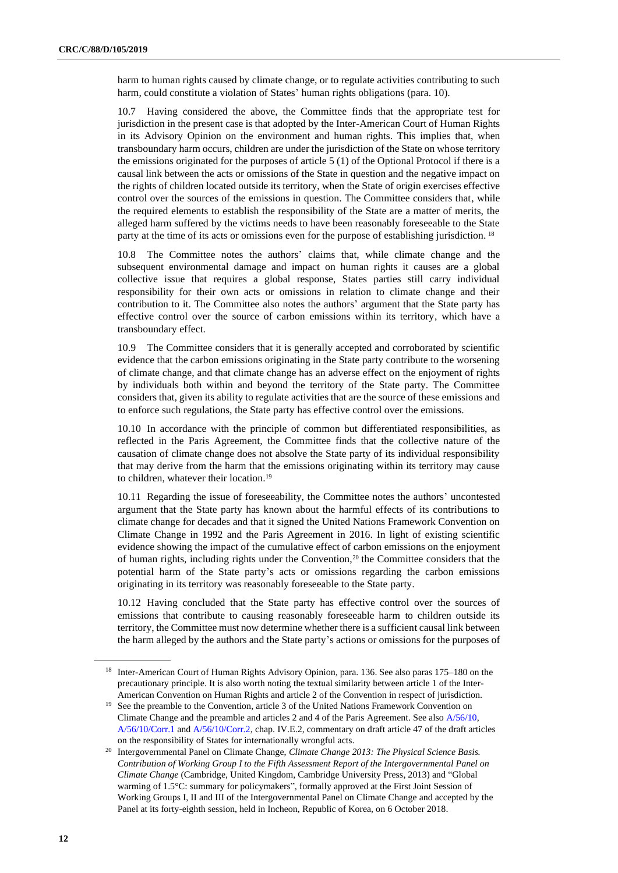harm to human rights caused by climate change, or to regulate activities contributing to such harm, could constitute a violation of States' human rights obligations (para. 10).

10.7 Having considered the above, the Committee finds that the appropriate test for jurisdiction in the present case is that adopted by the Inter-American Court of Human Rights in its Advisory Opinion on the environment and human rights. This implies that, when transboundary harm occurs, children are under the jurisdiction of the State on whose territory the emissions originated for the purposes of article 5 (1) of the Optional Protocol if there is a causal link between the acts or omissions of the State in question and the negative impact on the rights of children located outside its territory, when the State of origin exercises effective control over the sources of the emissions in question. The Committee considers that, while the required elements to establish the responsibility of the State are a matter of merits, the alleged harm suffered by the victims needs to have been reasonably foreseeable to the State party at the time of its acts or omissions even for the purpose of establishing jurisdiction. <sup>18</sup>

10.8 The Committee notes the authors' claims that, while climate change and the subsequent environmental damage and impact on human rights it causes are a global collective issue that requires a global response, States parties still carry individual responsibility for their own acts or omissions in relation to climate change and their contribution to it. The Committee also notes the authors' argument that the State party has effective control over the source of carbon emissions within its territory, which have a transboundary effect.

10.9 The Committee considers that it is generally accepted and corroborated by scientific evidence that the carbon emissions originating in the State party contribute to the worsening of climate change, and that climate change has an adverse effect on the enjoyment of rights by individuals both within and beyond the territory of the State party. The Committee considers that, given its ability to regulate activities that are the source of these emissions and to enforce such regulations, the State party has effective control over the emissions.

10.10 In accordance with the principle of common but differentiated responsibilities, as reflected in the Paris Agreement, the Committee finds that the collective nature of the causation of climate change does not absolve the State party of its individual responsibility that may derive from the harm that the emissions originating within its territory may cause to children, whatever their location.<sup>19</sup>

10.11 Regarding the issue of foreseeability, the Committee notes the authors' uncontested argument that the State party has known about the harmful effects of its contributions to climate change for decades and that it signed the United Nations Framework Convention on Climate Change in 1992 and the Paris Agreement in 2016. In light of existing scientific evidence showing the impact of the cumulative effect of carbon emissions on the enjoyment of human rights, including rights under the Convention,<sup>20</sup> the Committee considers that the potential harm of the State party's acts or omissions regarding the carbon emissions originating in its territory was reasonably foreseeable to the State party.

10.12 Having concluded that the State party has effective control over the sources of emissions that contribute to causing reasonably foreseeable harm to children outside its territory, the Committee must now determine whether there is a sufficient causal link between the harm alleged by the authors and the State party's actions or omissions for the purposes of

<sup>&</sup>lt;sup>18</sup> Inter-American Court of Human Rights Advisory Opinion, para. 136. See also paras 175–180 on the precautionary principle. It is also worth noting the textual similarity between article 1 of the Inter-American Convention on Human Rights and article 2 of the Convention in respect of jurisdiction.

<sup>&</sup>lt;sup>19</sup> See the preamble to the Convention, article 3 of the United Nations Framework Convention on Climate Change and the preamble and articles 2 and 4 of the Paris Agreement. See also [A/56/10,](http://undocs.org/en/A/56/10(SUPP))  [A/56/10/Corr.1](https://documents-dds-ny.un.org/doc/UNDOC/GEN/N01/599/13/pdf/N0159913.pdf?OpenElement) and [A/56/10/Corr.2,](https://documents-dds-ny.un.org/doc/UNDOC/GEN/N01/640/10/pdf/N0164010.pdf?OpenElement) chap. IV.E.2, commentary on draft article 47 of the draft articles on the responsibility of States for internationally wrongful acts.

<sup>20</sup> Intergovernmental Panel on Climate Change, *Climate Change 2013: The Physical Science Basis. Contribution of Working Group I to the Fifth Assessment Report of the Intergovernmental Panel on Climate Change* (Cambridge, United Kingdom, Cambridge University Press, 2013) and "Global warming of 1.5°C: summary for policymakers", formally approved at the First Joint Session of Working Groups I, II and III of the Intergovernmental Panel on Climate Change and accepted by the Panel at its forty-eighth session, held in Incheon, Republic of Korea, on 6 October 2018.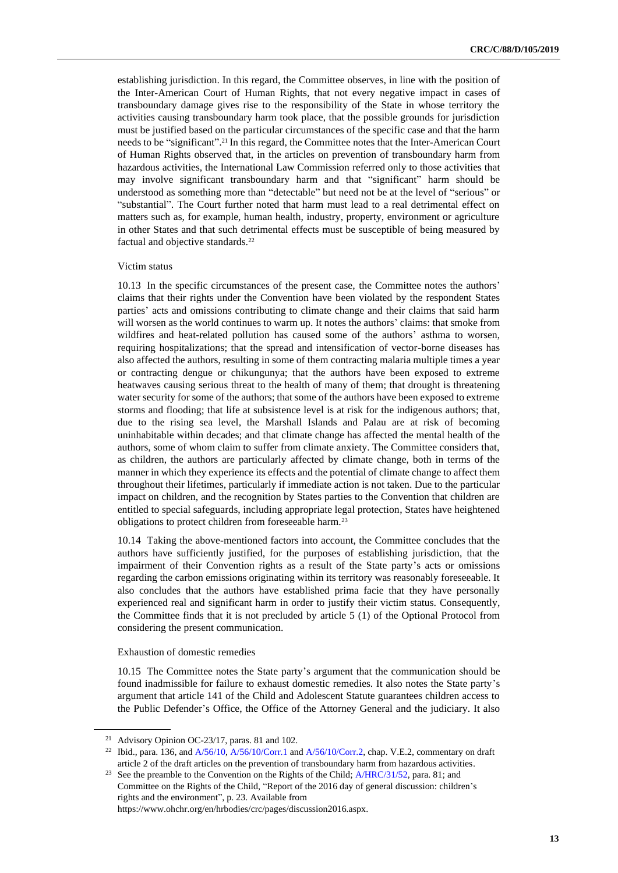establishing jurisdiction. In this regard, the Committee observes, in line with the position of the Inter-American Court of Human Rights, that not every negative impact in cases of transboundary damage gives rise to the responsibility of the State in whose territory the activities causing transboundary harm took place, that the possible grounds for jurisdiction must be justified based on the particular circumstances of the specific case and that the harm needs to be "significant". <sup>21</sup> In this regard, the Committee notes that the Inter-American Court of Human Rights observed that, in the articles on prevention of transboundary harm from hazardous activities, the International Law Commission referred only to those activities that may involve significant transboundary harm and that "significant" harm should be understood as something more than "detectable" but need not be at the level of "serious" or "substantial". The Court further noted that harm must lead to a real detrimental effect on matters such as, for example, human health, industry, property, environment or agriculture in other States and that such detrimental effects must be susceptible of being measured by factual and objective standards.<sup>22</sup>

#### Victim status

10.13 In the specific circumstances of the present case, the Committee notes the authors' claims that their rights under the Convention have been violated by the respondent States parties' acts and omissions contributing to climate change and their claims that said harm will worsen as the world continues to warm up. It notes the authors' claims: that smoke from wildfires and heat-related pollution has caused some of the authors' asthma to worsen, requiring hospitalizations; that the spread and intensification of vector-borne diseases has also affected the authors, resulting in some of them contracting malaria multiple times a year or contracting dengue or chikungunya; that the authors have been exposed to extreme heatwaves causing serious threat to the health of many of them; that drought is threatening water security for some of the authors; that some of the authors have been exposed to extreme storms and flooding; that life at subsistence level is at risk for the indigenous authors; that, due to the rising sea level, the Marshall Islands and Palau are at risk of becoming uninhabitable within decades; and that climate change has affected the mental health of the authors, some of whom claim to suffer from climate anxiety. The Committee considers that, as children, the authors are particularly affected by climate change, both in terms of the manner in which they experience its effects and the potential of climate change to affect them throughout their lifetimes, particularly if immediate action is not taken. Due to the particular impact on children, and the recognition by States parties to the Convention that children are entitled to special safeguards, including appropriate legal protection, States have heightened obligations to protect children from foreseeable harm.<sup>23</sup>

10.14 Taking the above-mentioned factors into account, the Committee concludes that the authors have sufficiently justified, for the purposes of establishing jurisdiction, that the impairment of their Convention rights as a result of the State party's acts or omissions regarding the carbon emissions originating within its territory was reasonably foreseeable. It also concludes that the authors have established prima facie that they have personally experienced real and significant harm in order to justify their victim status. Consequently, the Committee finds that it is not precluded by article 5 (1) of the Optional Protocol from considering the present communication.

## Exhaustion of domestic remedies

10.15 The Committee notes the State party's argument that the communication should be found inadmissible for failure to exhaust domestic remedies. It also notes the State party's argument that article 141 of the Child and Adolescent Statute guarantees children access to the Public Defender's Office, the Office of the Attorney General and the judiciary. It also

<sup>21</sup> Advisory Opinion OC-23/17, paras. 81 and 102.

<sup>&</sup>lt;sup>22</sup> Ibid., para. 136, and  $A/56/10$ ,  $A/56/10$ /Corr.1 and  $A/56/10$ /Corr.2, chap. V.E.2, commentary on draft article 2 of the draft articles on the prevention of transboundary harm from hazardous activities.

<sup>&</sup>lt;sup>23</sup> See the preamble to the Convention on the Rights of the Child;  $A/HRC/31/52$ , para. 81; and Committee on the Rights of the Child, "Report of the 2016 day of general discussion: children's rights and the environment", p. 23. Available from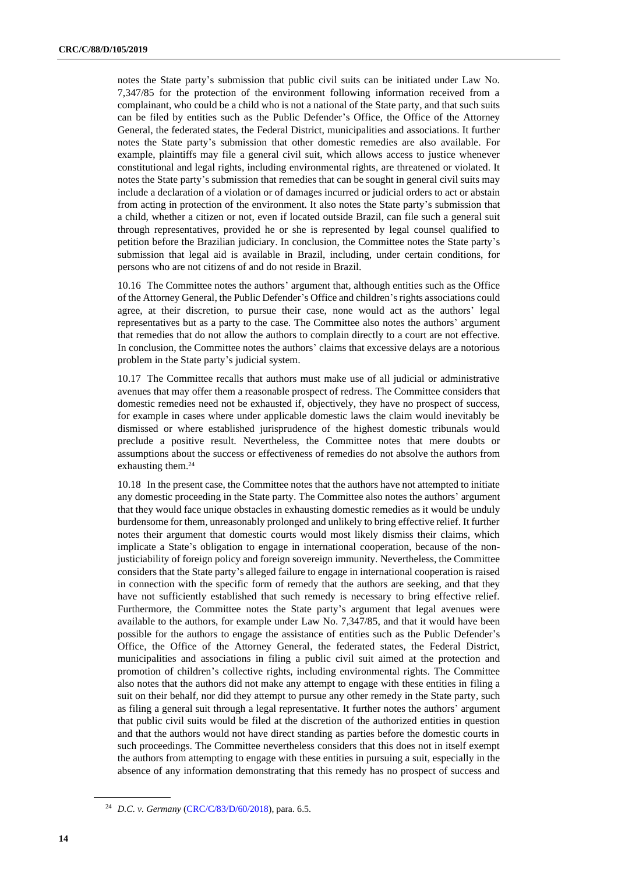notes the State party's submission that public civil suits can be initiated under Law No. 7,347/85 for the protection of the environment following information received from a complainant, who could be a child who is not a national of the State party, and that such suits can be filed by entities such as the Public Defender's Office, the Office of the Attorney General, the federated states, the Federal District, municipalities and associations. It further notes the State party's submission that other domestic remedies are also available. For example, plaintiffs may file a general civil suit, which allows access to justice whenever constitutional and legal rights, including environmental rights, are threatened or violated. It notes the State party's submission that remedies that can be sought in general civil suits may include a declaration of a violation or of damages incurred or judicial orders to act or abstain from acting in protection of the environment. It also notes the State party's submission that a child, whether a citizen or not, even if located outside Brazil, can file such a general suit through representatives, provided he or she is represented by legal counsel qualified to petition before the Brazilian judiciary. In conclusion, the Committee notes the State party's submission that legal aid is available in Brazil, including, under certain conditions, for persons who are not citizens of and do not reside in Brazil.

10.16 The Committee notes the authors' argument that, although entities such as the Office of the Attorney General, the Public Defender's Office and children's rights associations could agree, at their discretion, to pursue their case, none would act as the authors' legal representatives but as a party to the case. The Committee also notes the authors' argument that remedies that do not allow the authors to complain directly to a court are not effective. In conclusion, the Committee notes the authors' claims that excessive delays are a notorious problem in the State party's judicial system.

10.17 The Committee recalls that authors must make use of all judicial or administrative avenues that may offer them a reasonable prospect of redress. The Committee considers that domestic remedies need not be exhausted if, objectively, they have no prospect of success, for example in cases where under applicable domestic laws the claim would inevitably be dismissed or where established jurisprudence of the highest domestic tribunals would preclude a positive result. Nevertheless, the Committee notes that mere doubts or assumptions about the success or effectiveness of remedies do not absolve the authors from exhausting them.<sup>24</sup>

10.18 In the present case, the Committee notes that the authors have not attempted to initiate any domestic proceeding in the State party. The Committee also notes the authors' argument that they would face unique obstacles in exhausting domestic remedies as it would be unduly burdensome for them, unreasonably prolonged and unlikely to bring effective relief. It further notes their argument that domestic courts would most likely dismiss their claims, which implicate a State's obligation to engage in international cooperation, because of the nonjusticiability of foreign policy and foreign sovereign immunity. Nevertheless, the Committee considers that the State party's alleged failure to engage in international cooperation is raised in connection with the specific form of remedy that the authors are seeking, and that they have not sufficiently established that such remedy is necessary to bring effective relief. Furthermore, the Committee notes the State party's argument that legal avenues were available to the authors, for example under Law No. 7,347/85, and that it would have been possible for the authors to engage the assistance of entities such as the Public Defender's Office, the Office of the Attorney General, the federated states, the Federal District, municipalities and associations in filing a public civil suit aimed at the protection and promotion of children's collective rights, including environmental rights. The Committee also notes that the authors did not make any attempt to engage with these entities in filing a suit on their behalf, nor did they attempt to pursue any other remedy in the State party, such as filing a general suit through a legal representative. It further notes the authors' argument that public civil suits would be filed at the discretion of the authorized entities in question and that the authors would not have direct standing as parties before the domestic courts in such proceedings. The Committee nevertheless considers that this does not in itself exempt the authors from attempting to engage with these entities in pursuing a suit, especially in the absence of any information demonstrating that this remedy has no prospect of success and

<sup>24</sup> *D.C. v. Germany* [\(CRC/C/83/D/60/2018\)](http://undocs.org/en/CRC/C/83/D/60/2018), para. 6.5.